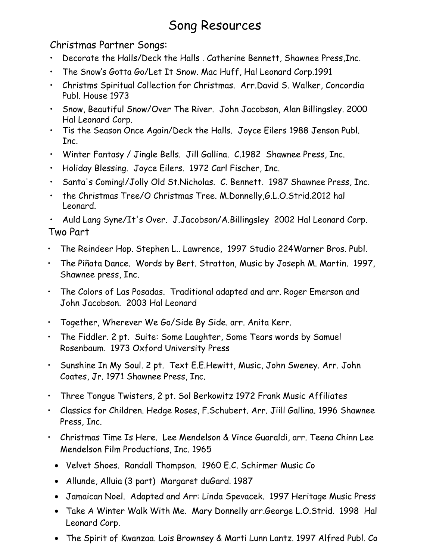# Song Resources

## Christmas Partner Songs:

- Decorate the Halls/Deck the Halls . Catherine Bennett, Shawnee Press,Inc.
- The Snow's Gotta Go/Let It Snow. Mac Huff, Hal Leonard Corp.1991
- Christms Spiritual Collection for Christmas. Arr.David S. Walker, Concordia Publ. House 1973
- Snow, Beautiful Snow/Over The River. John Jacobson, Alan Billingsley. 2000 Hal Leonard Corp.
- Tis the Season Once Again/Deck the Halls. Joyce Eilers 1988 Jenson Publ. Inc.
- Winter Fantasy / Jingle Bells. Jill Gallina. C.1982 Shawnee Press, Inc.
- Holiday Blessing. Joyce Eilers. 1972 Carl Fischer, Inc.
- Santa's Coming!/Jolly Old St.Nicholas. C. Bennett. 1987 Shawnee Press, Inc.
- the Christmas Tree/O Christmas Tree. M.Donnelly,G.L.O.Strid.2012 hal Leonard.

• Auld Lang Syne/It's Over. J.Jacobson/A.Billingsley 2002 Hal Leonard Corp. **Two Part** 

- The Reindeer Hop. Stephen L.. Lawrence, 1997 Studio 224Warner Bros. Publ.
- The Piñata Dance. Words by Bert. Stratton, Music by Joseph M. Martin. 1997, Shawnee press, Inc.
- The Colors of Las Posadas. Traditional adapted and arr. Roger Emerson and John Jacobson. 2003 Hal Leonard
- Together, Wherever We Go/Side By Side. arr. Anita Kerr.
- The Fiddler. 2 pt. Suite: Some Laughter, Some Tears words by Samuel Rosenbaum. 1973 Oxford University Press
- Sunshine In My Soul. 2 pt. Text E.E.Hewitt, Music, John Sweney. Arr. John Coates, Jr. 1971 Shawnee Press, Inc.
- Three Tongue Twisters, 2 pt. Sol Berkowitz 1972 Frank Music Affiliates
- Classics for Children. Hedge Roses, F.Schubert. Arr. Jiill Gallina. 1996 Shawnee Press, Inc.
- Christmas Time Is Here. Lee Mendelson & Vince Guaraldi, arr. Teena Chinn Lee Mendelson Film Productions, Inc. 1965
	- Velvet Shoes. Randall Thompson. 1960 E.C. Schirmer Music Co
	- Allunde, Alluia (3 part) Margaret duGard. 1987
	- Jamaican Noel. Adapted and Arr: Linda Spevacek. 1997 Heritage Music Press
	- Take A Winter Walk With Me. Mary Donnelly arr.George L.O.Strid. 1998 Hal Leonard Corp.
	- The Spirit of Kwanzaa. Lois Brownsey & Marti Lunn Lantz. 1997 Alfred Publ. Co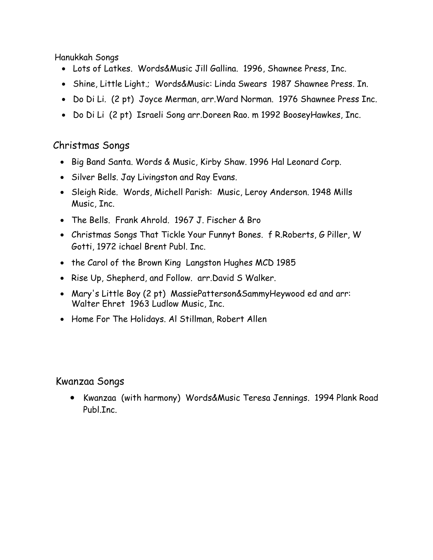Hanukkah Songs

- Lots of Latkes. Words&Music Jill Gallina. 1996, Shawnee Press, Inc.
- Shine, Little Light.; Words&Music: Linda Swears 1987 Shawnee Press. In.
- Do Di Li. (2 pt) Joyce Merman, arr.Ward Norman. 1976 Shawnee Press Inc.
- Do Di Li (2 pt) Israeli Song arr.Doreen Rao. m 1992 BooseyHawkes, Inc.

# Christmas Songs

- Big Band Santa. Words & Music, Kirby Shaw. 1996 Hal Leonard Corp.
- Silver Bells. Jay Livingston and Ray Evans.
- Sleigh Ride. Words, Michell Parish: Music, Leroy Anderson. 1948 Mills Music, Inc.
- The Bells. Frank Ahrold. 1967 J. Fischer & Bro
- Christmas Songs That Tickle Your Funnyt Bones. f R.Roberts, G Piller, W Gotti, 1972 ichael Brent Publ. Inc.
- the Carol of the Brown King Langston Hughes MCD 1985
- Rise Up, Shepherd, and Follow. arr.David S Walker.
- Mary's Little Boy (2 pt) MassiePatterson&SammyHeywood ed and arr: Walter Ehret 1963 Ludlow Music, Inc.
- Home For The Holidays. Al Stillman, Robert Allen

### Kwanzaa Songs

• Kwanzaa (with harmony) Words&Music Teresa Jennings. 1994 Plank Road Publ.Inc.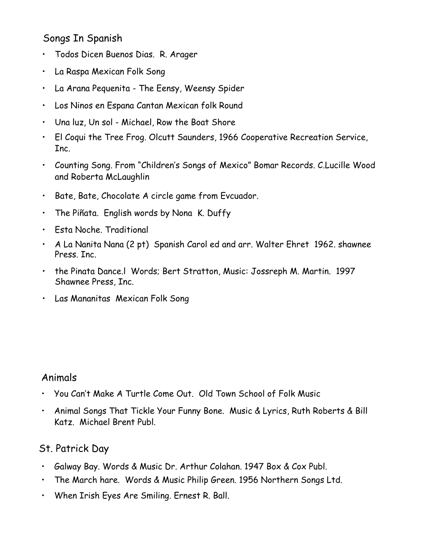# Songs In Spanish

- Todos Dicen Buenos Dias. R. Arager
- La Raspa Mexican Folk Song
- La Arana Pequenita The Eensy, Weensy Spider
- Los Ninos en Espana Cantan Mexican folk Round
- Una luz, Un sol Michael, Row the Boat Shore
- El Coqui the Tree Frog. Olcutt Saunders, 1966 Cooperative Recreation Service, Inc.
- Counting Song. From "Children's Songs of Mexico" Bomar Records. C.Lucille Wood and Roberta McLaughlin
- Bate, Bate, Chocolate A circle game from Evcuador.
- The Piñata. English words by Nona K. Duffy
- Esta Noche. Traditional
- A La Nanita Nana (2 pt) Spanish Carol ed and arr. Walter Ehret 1962. shawnee Press. Inc.
- the Pinata Dance.l Words; Bert Stratton, Music: Jossreph M. Martin. 1997 Shawnee Press, Inc.
- Las Mananitas Mexican Folk Song

# Animals

- You Can't Make A Turtle Come Out. Old Town School of Folk Music
- Animal Songs That Tickle Your Funny Bone. Music & Lyrics, Ruth Roberts & Bill Katz. Michael Brent Publ.

# St. Patrick Day

- Galway Bay. Words & Music Dr. Arthur Colahan. 1947 Box & Cox Publ.
- The March hare. Words & Music Philip Green. 1956 Northern Songs Ltd.
- When Irish Eyes Are Smiling. Ernest R. Ball.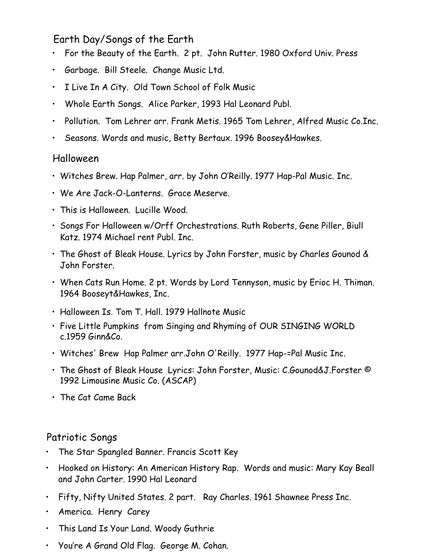# Earth Day/Songs of the Earth

- For the Beauty of the Earth. 2 pt. John Rutter. 1980 Oxford Univ. Press
- Garbage. Bill Steele. Change Music Ltd.
- I Live In A City. Old Town School of Folk Music
- Whole Earth Songs. Alice Parker, 1993 Hal Leonard Publ.
- Pollution. Tom Lehrer arr. Frank Metis. 1965 Tom Lehrer, Alfred Music Co.Inc.
- Seasons. Words and music, Betty Bertaux. 1996 Boosey&Hawkes.

#### Halloween

- Witches Brew. Hap Palmer, arr. by John O'Reilly. 1977 Hap-Pal Music. Inc.
- We Are Jack-O-Lanterns. Grace Meserve.
- This is Halloween. Lucille Wood.
- Songs For Halloween w/Orff Orchestrations. Ruth Roberts, Gene Piller, Biull Katz. 1974 Michael rent Publ. Inc.
- The Ghost of Bleak House. Lyrics by John Forster, music by Charles Gounod & John Forster.
- When Cats Run Home. 2 pt. Words by Lord Tennyson, music by Erioc H. Thiman. 1964 Booseyt&Hawkes, Inc.
- Halloween Is. Tom T. Hall. 1979 Hallnote Music
- Five Little Pumpkins from Singing and Rhyming of OUR SINGING WORLD c.1959 Ginn&Co.
- Witches' Brew Hap Palmer arr.John O'Reilly. 1977 Hap-=Pal Music Inc.
- The Ghost of Bleak House Lyrics: John Forster, Music: C.Gounod&J.Forster © 1992 Limousine Music Co. (ASCAP)
- The Cat Came Back

### Patriotic Songs

- The Star Spangled Banner. Francis Scott Key
- Hooked on History: An American History Rap. Words and music: Mary Kay Beall and John Carter. 1990 Hal Leonard
- Fifty, Nifty United States. 2 part. Ray Charles. 1961 Shawnee Press Inc.
- America. Henry Carey
- This Land Is Your Land. Woody Guthrie
- You're A Grand Old Flag. George M. Cohan.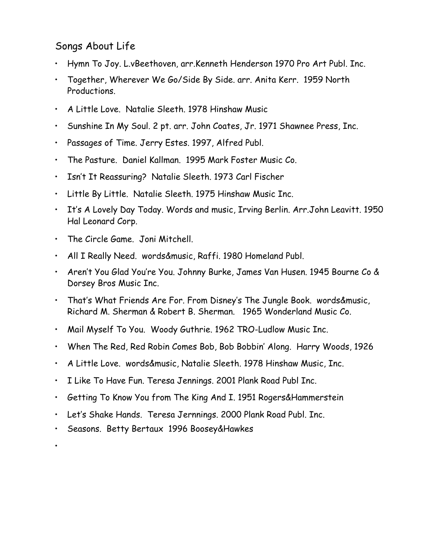# Songs About Life

- Hymn To Joy. L.vBeethoven, arr.Kenneth Henderson 1970 Pro Art Publ. Inc.
- Together, Wherever We Go/Side By Side. arr. Anita Kerr. 1959 North Productions.
- A Little Love. Natalie Sleeth. 1978 Hinshaw Music
- Sunshine In My Soul. 2 pt. arr. John Coates, Jr. 1971 Shawnee Press, Inc.
- Passages of Time. Jerry Estes. 1997, Alfred Publ.
- The Pasture. Daniel Kallman. 1995 Mark Foster Music Co.
- Isn't It Reassuring? Natalie Sleeth. 1973 Carl Fischer
- Little By Little. Natalie Sleeth. 1975 Hinshaw Music Inc.
- It's A Lovely Day Today. Words and music, Irving Berlin. Arr.John Leavitt. 1950 Hal Leonard Corp.
- The Circle Game. Joni Mitchell.
- All I Really Need. words&music, Raffi. 1980 Homeland Publ.
- Aren't You Glad You're You. Johnny Burke, James Van Husen. 1945 Bourne Co & Dorsey Bros Music Inc.
- That's What Friends Are For. From Disney's The Jungle Book. words&music, Richard M. Sherman & Robert B. Sherman. 1965 Wonderland Music Co.
- Mail Myself To You. Woody Guthrie. 1962 TRO-Ludlow Music Inc.
- When The Red, Red Robin Comes Bob, Bob Bobbin' Along. Harry Woods, 1926
- A Little Love. words&music, Natalie Sleeth. 1978 Hinshaw Music, Inc.
- I Like To Have Fun. Teresa Jennings. 2001 Plank Road Publ Inc.
- Getting To Know You from The King And I. 1951 Rogers&Hammerstein
- Let's Shake Hands. Teresa Jernnings. 2000 Plank Road Publ. Inc.
- Seasons. Betty Bertaux 1996 Boosey&Hawkes

•